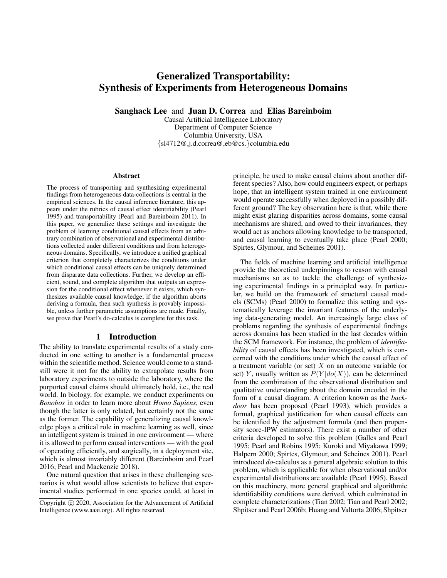# Generalized Transportability: Synthesis of Experiments from Heterogeneous Domains

Sanghack Lee and Juan D. Correa and Elias Bareinboim

Causal Artificial Intelligence Laboratory Department of Computer Science Columbia University, USA {sl4712@,j.d.correa@,eb@cs.}columbia.edu

#### Abstract

The process of transporting and synthesizing experimental findings from heterogeneous data-collections is central in the empirical sciences. In the causal inference literature, this appears under the rubrics of causal effect identifiability (Pearl 1995) and transportability (Pearl and Bareinboim 2011). In this paper, we generalize these settings and investigate the problem of learning conditional causal effects from an arbitrary combination of observational and experimental distributions collected under different conditions and from heterogeneous domains. Specifically, we introduce a unified graphical criterion that completely characterizes the conditions under which conditional causal effects can be uniquely determined from disparate data collections. Further, we develop an efficient, sound, and complete algorithm that outputs an expression for the conditional effect whenever it exists, which synthesizes available causal knowledge; if the algorithm aborts deriving a formula, then such synthesis is provably impossible, unless further parametric assumptions are made. Finally, we prove that Pearl's do-calculus is complete for this task.

### 1 Introduction

The ability to translate experimental results of a study conducted in one setting to another is a fundamental process within the scientific method. Science would come to a standstill were it not for the ability to extrapolate results from laboratory experiments to outside the laboratory, where the purported causal claims should ultimately hold, i.e., the real world. In biology, for example, we conduct experiments on *Bonobos* in order to learn more about *Homo Sapiens*, even though the latter is only related, but certainly not the same as the former. The capability of generalizing causal knowledge plays a critical role in machine learning as well, since an intelligent system is trained in one environment — where it is allowed to perform causal interventions — with the goal of operating efficiently, and surgically, in a deployment site, which is almost invariably different (Bareinboim and Pearl 2016; Pearl and Mackenzie 2018).

One natural question that arises in these challenging scenarios is what would allow scientists to believe that experimental studies performed in one species could, at least in principle, be used to make causal claims about another different species? Also, how could engineers expect, or perhaps hope, that an intelligent system trained in one environment would operate successfully when deployed in a possibly different ground? The key observation here is that, while there might exist glaring disparities across domains, some causal mechanisms are shared, and owed to their invariances, they would act as anchors allowing knowledge to be transported, and causal learning to eventually take place (Pearl 2000; Spirtes, Glymour, and Scheines 2001).

The fields of machine learning and artificial intelligence provide the theoretical underpinnings to reason with causal mechanisms so as to tackle the challenge of synthesizing experimental findings in a principled way. In particular, we build on the framework of structural causal models (SCMs) (Pearl 2000) to formalize this setting and systematically leverage the invariant features of the underlying data-generating model. An increasingly large class of problems regarding the synthesis of experimental findings across domains has been studied in the last decades within the SCM framework. For instance, the problem of *identifiability* of causal effects has been investigated, which is concerned with the conditions under which the causal effect of a treatment variable (or set)  $X$  on an outcome variable (or set) Y, usually written as  $P(Y|do(X))$ , can be determined from the combination of the observational distribution and qualitative understanding about the domain encoded in the form of a causal diagram. A criterion known as the *backdoor* has been proposed (Pearl 1993), which provides a formal, graphical justification for when causal effects can be identified by the adjustment formula (and then propensity score-IPW estimators). There exist a number of other criteria developed to solve this problem (Galles and Pearl 1995; Pearl and Robins 1995; Kuroki and Miyakawa 1999; Halpern 2000; Spirtes, Glymour, and Scheines 2001). Pearl introduced *do*-calculus as a general algebraic solution to this problem, which is applicable for when observational and/or experimental distributions are available (Pearl 1995). Based on this machinery, more general graphical and algorithmic identifiability conditions were derived, which culminated in complete characterizations (Tian 2002; Tian and Pearl 2002; Shpitser and Pearl 2006b; Huang and Valtorta 2006; Shpitser

Copyright (c) 2020, Association for the Advancement of Artificial Intelligence (www.aaai.org). All rights reserved.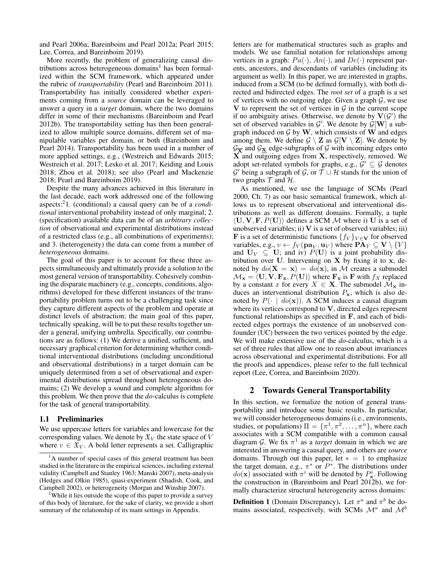and Pearl 2006a; Bareinboim and Pearl 2012a; Pearl 2015; Lee, Correa, and Bareinboim 2019).

More recently, the problem of generalizing causal distributions across heterogeneous domains<sup>1</sup> has been formalized within the SCM framework, which appeared under the rubric of *transportability* (Pearl and Bareinboim 2011). Transportability has initially considered whether experiments coming from a *source* domain can be leveraged to answer a query in a *target* domain, where the two domains differ in some of their mechanisms (Bareinboim and Pearl 2012b). The transportability setting has then been generalized to allow multiple source domains, different set of manipulable variables per domain, or both (Bareinboim and Pearl 2014). Transportability has been used in a number of more applied settings, e.g., (Westreich and Edwards 2015; Westreich et al. 2017; Lesko et al. 2017; Keiding and Louis 2018; Zhou et al. 2018); see also (Pearl and Mackenzie 2018; Pearl and Bareinboim 2019).

Despite the many advances achieved in this literature in the last decade, each work addressed one of the following aspects:<sup>2</sup>1. (conditional) a causal query can be of a *conditional* interventional probability instead of only marginal; 2. (specification) available data can be of an *arbitrary collection* of observational and experimental distributions instead of a restricted class (e.g., all combinations of experiments); and 3. (heterogeneity) the data can come from a number of *heterogeneous* domains.

The goal of this paper is to account for these three aspects simultaneously and ultimately provide a solution to the most general version of transportability. Cohesively combining the disparate machinery (e.g., concepts, conditions, algorithms) developed for these different instances of the transportability problem turns out to be a challenging task since they capture different aspects of the problem and operate at distinct levels of abstraction; the main goal of this paper, technically speaking, will be to put these results together under a general, unifying umbrella. Specifically, our contributions are as follows: (1) We derive a unified, sufficient, and necessary graphical criterion for determining whether conditional interventional distributions (including unconditional and observational distributions) in a target domain can be uniquely determined from a set of observational and experimental distributions spread throughout heterogeneous domains; (2) We develop a sound and complete algorithm for this problem. We then prove that the *do*-calculus is complete for the task of general transportability.

#### 1.1 Preliminaries

We use uppercase letters for variables and lowercase for the corresponding values. We denote by  $\mathfrak{X}_V$  the state space of V where  $v \in \mathfrak{X}_V$ . A bold letter represents a set. Calligraphic

letters are for mathematical structures such as graphs and models. We use familial notation for relationships among vertices in a graph:  $Pa(\cdot), An(\cdot)$ , and  $De(\cdot)$  represent parents, ancestors, and descendants of variables (including its argument as well). In this paper, we are interested in graphs, induced from a SCM (to be defined formally), with both directed and bidirected edges. The *root set* of a graph is a set of vertices with no outgoing edge. Given a graph  $G$ , we use V to represent the set of vertices in  $G$  in the current scope if no ambiguity arises. Otherwise, we denote by  $V(G')$  the set of observed variables in  $\mathcal{G}'$ . We denote by  $\mathcal{G}[\mathbf{W}]$  a subgraph induced on  $G$  by W, which consists of W and edges among them. We define  $\mathcal{G} \setminus \mathbf{Z}$  as  $\mathcal{G}[\mathbf{V} \setminus \mathbf{Z}]$ . We denote by  $\mathcal{G}_{\overline{\mathbf{X}}}$  and  $\mathcal{G}_{\mathbf{X}}$  edge-subgraphs of  $\mathcal G$  with incoming edges onto  $\hat{\textbf{X}}$  and outgoing edges from **X**, respectively, removed. We adopt set-related symbols for graphs, e.g.,  $\mathcal{G}' \subseteq \mathcal{G}$  denotes  $\mathcal{G}'$  being a subgraph of  $\mathcal{G}$ , or  $\tilde{\mathcal{T}} \cup \mathcal{H}$  stands for the union of two graphs  $T$  and  $H$ .

As mentioned, we use the language of SCMs (Pearl 2000, Ch. 7) as our basic semantical framework, which allows us to represent observational and interventional distributions as well as different domains. Formally, a tuple  $\langle U, V, F, P(U) \rangle$  defines a SCM M where i) U is a set of unobserved variables; ii)  $V$  is a set of observed variables; iii) **F** is a set of deterministic functions  $\{f_V\}_{V \in \mathbf{V}}$  for observed variables, e.g.,  $v \leftarrow f_V(\mathbf{pa}_V, \mathbf{u}_V)$  where  $\mathbf{PA}_V \subseteq \mathbf{V} \setminus \{V\}$ and  $U_V \subseteq U$ ; and iv)  $P(U)$  is a joint probability distribution over  $U$ . Intervening on  $X$  by fixing it to  $x$ , denoted by  $do(X = x) = do(x)$ , in M creates a submodel  $\mathcal{M}_{\mathbf{x}} = \langle \mathbf{U}, \mathbf{V}, \mathbf{F}_{\mathbf{x}}, P(\mathbf{U}) \rangle$  where  $\mathbf{F}_{\mathbf{x}}$  is F with  $f_X$  replaced by a constant x for every  $X \in \mathbf{X}$ . The submodel  $\mathcal{M}_{\mathbf{x}}$  induces an interventional distribution  $P_x$ , which is also denoted by  $P(\cdot | do(\mathbf{x}))$ . A SCM induces a causal diagram where its vertices correspond to V, directed edges represent functional relationships as specified in F, and each of bidirected edges portrays the existence of an unobserved confounder (UC) between the two vertices pointed by the edge. We will make extensive use of the *do*-calculus, which is a set of three rules that allow one to reason about invariances across observational and experimental distributions. For all the proofs and appendices, please refer to the full technical report (Lee, Correa, and Bareinboim 2020).

#### 2 Towards General Transportability

In this section, we formalize the notion of general transportability and introduce some basic results. In particular, we will consider heterogeneous domains (i.e., environments, studies, or populations)  $\Pi = {\pi^1, \pi^2, \dots, \pi^n}$ , where each associates with a SCM compatible with a common causal diagram G. We fix  $\pi^1$  as a *target* domain in which we are interested in answering a causal query, and others are *source* domains. Through out this paper, let  $* = 1$  to emphasize the target domain, e.g.,  $\pi^*$  or  $P^*$ . The distributions under  $do(\mathbf{x})$  associated with  $\pi^i$  will be denoted by  $P^i_{\mathbf{x}}$ . Following the construction in (Bareinboim and Pearl 2012b), we formally characterize structural heterogeneity across domains:

**Definition 1** (Domain Discrepancy). Let  $\pi^a$  and  $\pi^b$  be domains associated, respectively, with SCMs  $\mathcal{M}^a$  and  $\mathcal{M}^b$ 

<sup>&</sup>lt;sup>1</sup>A number of special cases of this general treatment has been studied in the literature in the empirical sciences, including external validity (Campbell and Stanley 1963; Manski 2007), meta-analysis (Hedges and Olkin 1985), quasi-experiment (Shadish, Cook, and Campbell 2002), or heterogeneity (Morgan and Winship 2007).

<sup>&</sup>lt;sup>2</sup>While it lies outside the scope of this paper to provide a survey of this body of literature, for the sake of clarity, we provide a short summary of the relationship of its main settings in Appendix.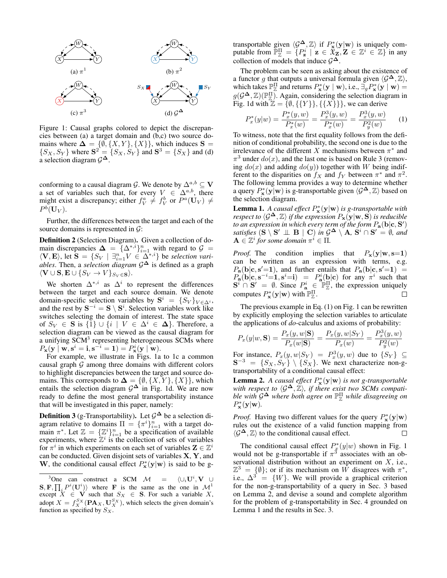

Figure 1: Causal graphs colored to depict the discrepancies between (a) a target domain and (b,c) two source domains where  $\Delta = \{\emptyset, \{X, Y\}, \{X\}\}\$ , which induces  $S =$  $\{S_X, S_Y\}$  where  $S^2 = \{S_X, S_Y\}$  and  $S^3 = \{S_X\}$  and (d) a selection diagram  $\mathcal{G}^{\Delta}$ .

conforming to a causal diagram  $\mathcal{G}$ . We denote by  $\Delta^{a,b} \subseteq \mathbf{V}$ a set of variables such that, for every  $V \in \Delta^{a,b}$ , there might exist a discrepancy; either  $f_V^a \neq f_V^b$  or  $P^a(\mathbf{U}_V) \neq$  $P^b(\mathbf{U}_V).$ 

Further, the differences between the target and each of the source domains is represented in  $\mathcal{G}$ :

Definition 2 (Selection Diagram). Given a collection of domain discrepancies  $\Delta = {\Delta^{*,i}}_{i=1}^n$  with regard to  $\mathcal{G} =$  $\langle \mathbf{V}, \mathbf{E} \rangle$ , let  $\mathbf{\hat{S}} = \{ S_V \mid \exists_{i=1}^n V \in \Delta^{*,i} \}$  be *selection variables*. Then, a *selection diagram* G<sup>∆</sup> is defined as a graph  $\langle {\bf V} \cup {\bf S}, {\bf E} \cup \{S_V \rightarrow V\}_{S_V \in {\bf S}} \rangle.$ 

We shorten  $\Delta^{*,i}$  as  $\Delta^i$  to represent the differences between the target and each source domain. We denote domain-specific selection variables by  $S^i = \{S_V\}_{V \in \Delta^i}$ , and the rest by  $S^{-i} = S \setminus S^i$ . Selection variables work like switches selecting the domain of interest. The state space of  $S_V \in \mathbf{S}$  is  $\{1\} \cup \{i \mid V \in \Delta^i \in \Delta\}$ . Therefore, a selection diagram can be viewed as the causal diagram for a unifying SCM<sup>3</sup> representing heterogeneous SCMs where  $P_{\mathbf{x}}(\mathbf{y} \mid \mathbf{w}, \mathbf{s}^i = \mathbf{i}, \mathbf{s}^{-i} = \mathbf{1}) = P_{\mathbf{x}}^i(\mathbf{y} \mid \mathbf{w}).$ 

For example, we illustrate in Figs. 1a to 1c a common causal graph  $G$  among three domains with different colors to highlight discrepancies between the target and source domains. This corresponds to  $\mathbf{\Delta} = \{\emptyset, \{X, Y\}, \{X\}\}\,$  which entails the selection diagram  $\mathcal{G}^{\Delta}$  in Fig. 1d. We are now ready to define the most general transportability instance that will be investigated in this paper, namely:

**Definition 3** (g-Transportability). Let  $\mathcal{G}^{\Delta}$  be a selection diagram relative to domains  $\Pi = {\pi^{i}}_{i=1}^{n}$  with a target domain  $\pi^*$ . Let  $\mathbb{Z} = {\mathbb{Z}^i}_{i=1}^n$  be a specification of available experiments, where  $\mathbb{Z}^i$  is the collection of sets of variables for  $\pi^i$  in which experiments on each set of variables  $\mathbf{Z} \in \mathbb{Z}^i$ can be conducted. Given disjoint sets of variables  $X, Y$ , and W, the conditional causal effect  $P^*_{\mathbf{x}}(\mathbf{y}|\mathbf{w})$  is said to be g-

transportable given  $\langle \mathcal{G}^{\Delta}, \mathbb{Z} \rangle$  if  $P_{\mathbf{x}}^{*}(\mathbf{y}|\mathbf{w})$  is uniquely computable from  $\mathbb{P}_{\mathbb{Z}}^{\Pi} = \{ P_{\mathbf{z}}^i \mid \mathbf{z} \in \mathbf{\hat{x}_Z}, \mathbf{Z} \in \mathbb{Z}^i \in \mathbb{Z} \}$  in any collection of models that induce  $\mathcal{G}^{\Delta}$ .

The problem can be seen as asking about the existence of a functor g that outputs a universal formula given  $\langle \mathcal{G}^{\Delta}, \mathbb{Z} \rangle$ , which takes  $\mathbb{P}_{\mathbb{Z}}^{\Pi}$  and returns  $P_{\mathbf{x}}^*(\mathbf{y} \mid \mathbf{w})$ , i.e.,  $\exists_g P_{\mathbf{x}}^*(\mathbf{y} \mid \mathbf{w}) =$  $g(\mathcal{G}^{\mathbf{\Delta}}, \mathbb{Z})(\mathbb{P}_{\mathbb{Z}}^{\Pi})$ . Again, considering the selection diagram in Fig. 1d with  $\mathbb{Z} = {\emptyset, {\{Y\}\}, {\{\{X\}\}\}\}\}\$ , we can derive

$$
P_x^*(y|w) = \frac{P_x^*(y, w)}{P_x^*(w)} = \frac{P_x^3(y, w)}{P_x^*(w)} = \frac{P_x^3(y, w)}{P_y^2(w)} \tag{1}
$$

To witness, note that the first equality follows from the definition of conditional probability, the second one is due to the irrelevance of the different X mechanisms between  $\pi^*$  and  $\pi^3$  under  $do(x)$ , and the last one is based on Rule 3 (removing  $do(x)$  and adding  $do(y)$ ) together with W being indifferent to the disparities on  $f_X$  and  $f_Y$  between  $\pi^*$  and  $\pi^2$ . The following lemma provides a way to determine whether a query  $P_{\mathbf{x}}^*(\mathbf{y}|\mathbf{w})$  is g-transportable given  $\langle \mathcal{G}^{\mathbf{\Delta}}, \mathbb{Z} \rangle$  based on the selection diagram.

**Lemma 1.** A causal effect  $P_{\mathbf{x}}^*(\mathbf{y}|\mathbf{w})$  is g-transportable with *respect to*  $\langle \mathcal{G}^{\Delta}, \mathbb{Z} \rangle$  *if the expression*  $P_{\mathbf{x}}(\mathbf{y}|\mathbf{w}, \mathbf{S})$  *is reducible* to an expression in which every term of the form  $P_{\bf a}({\bf b}|{\bf c},{\bf S}')$ *satisfies*  $(S \setminus S' \perp \perp B \mid C)$  *in*  $\mathcal{G}^{\Delta} \setminus A$ ,  $S^i \cap S' = \emptyset$ *, and*  $\mathbf{A} \in \mathbb{Z}^i$  for some domain  $\pi^i \in \Pi$ .

*Proof.* The condition implies that  $P_x(y|\mathbf{w}, \mathbf{s}=\mathbf{1})$ can be written as an expression with terms, e.g.  $P_{\bf a}({\bf b}|{\bf c},{\bf s}'={\bf 1})$ , and further entails that  $P_{\bf a}({\bf b}|{\bf c},{\bf s}'={\bf 1}) =$  $P_{\bf a}({\bf b}|{\bf c},{\bf s}^{-i}={\bf 1},{\bf s}^{i}={\bf i}) = P_{\bf a}^{i}({\bf b}|{\bf c})$  for any  $\pi^{i}$  such that  $\mathbf{S}^i \cap \mathbf{S}' = \emptyset$ . Since  $P_{\mathbf{a}}^i \in \mathbb{P}_{\mathbb{Z}}^{\Pi'}$ , the expression uniquely computes  $P_{\mathbf{x}}^*(\mathbf{y}|\mathbf{w})$  with  $\mathbb{P}_{\mathbb{Z}}^{\Pi}$ .

The previous example in Eq. (1) on Fig. 1 can be rewritten by explicitly employing the selection variables to articulate the applications of *do*-calculus and axioms of probability:

$$
P_x(y|w, \mathbf{S}) = \frac{P_x(y, w|\mathbf{S})}{P_x(w|\mathbf{S})} = \frac{P_x(y, w|S_Y)}{P_x(w)} = \frac{P_x^3(y, w)}{P_y^2(w)}
$$

For instance,  $P_x(y, w | S_Y) = P_x^3(y, w)$  due to  $\{S_Y\} \subseteq$  ${\bf S}^{-3} = \{S_X, S_Y\} \setminus \{S_X\}$ . We next characterize non-gtransportability of a conditional causal effect:

**Lemma 2.** *A causal effect*  $P$ <sup>∗</sup>**x**(**y**|**w**) *is not g-transportable* with respect to  $\langle \mathcal{G}^{\Delta}, \mathbb{Z} \rangle$ , if there exist two SCMs compati*ble with* G<sup>∆</sup> *where both agree on* P Π <sup>Z</sup> *while disagreeing on*  $P_{\mathbf{x}}^*(\mathbf{y}|\mathbf{w})$ .

*Proof.* Having two different values for the query  $P_{\mathbf{x}}^*(\mathbf{y}|\mathbf{w})$ rules out the existence of a valid function mapping from  $\langle \mathcal{G}^{\Delta}, \mathbb{Z} \rangle$  to the conditional causal effect. П

The conditional causal effect  $P_x^*(y|w)$  shown in Fig. 1 would not be g-transportable if  $\pi^3$  associates with an observational distribution without an experiment on  $X$ , i.e.,  $\mathbb{Z}^3 = \{\emptyset\}$ ; or if its mechanism on W disagrees with  $\pi^*$ , i.e.,  $\Delta^{3} = \{W\}$ . We will provide a graphical criterion for the non-g-transportability of a query in Sec. 3 based on Lemma 2, and devise a sound and complete algorithm for the problem of g-transportability in Sec. 4 grounded on Lemma 1 and the results in Sec. 3.

<sup>&</sup>lt;sup>3</sup>One can construct a SCM  $\mathcal{M}$  =  $\langle \cup_i \mathbf{U}^i, \mathbf{V} \ \cup$  $(\mathbf{S}, \mathbf{F}, \prod_i P^i(\mathbf{U}^i))$  where **F** is the same as the one in  $\mathcal{M}^1$ except  $X \in V$  such that  $S_X \in S$ . For such a variable X, adopt  $X = f_X^{S_X}(\mathbf{PA}_X, \mathbf{U}_X^{S_X})$ , which selects the given domain's function as specified by  $S_X$ .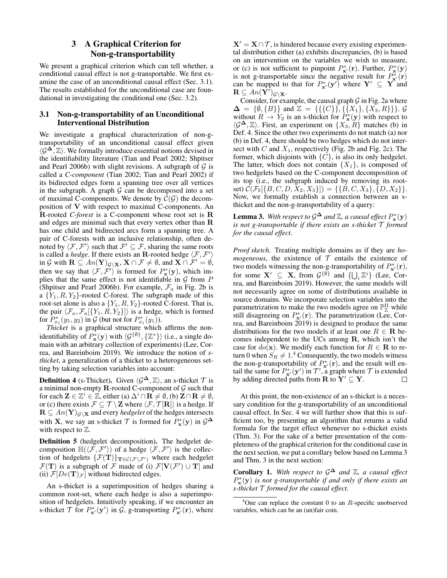# 3 A Graphical Criterion for Non-g-transportability

We present a graphical criterion which can tell whether, a conditional causal effect is not g-transportable. We first examine the case of an unconditional causal effect (Sec. 3.1). The results established for the unconditional case are foundational in investigating the conditional one (Sec. 3.2).

# 3.1 Non-g-transportability of an Unconditional Interventional Distribution

We investigate a graphical characterization of non-gtransportability of an unconditional causal effect given  $\langle \mathcal{G}^{\Delta}, \mathbb{Z} \rangle$ . We formally introduce essential notions devised in the identifiability literature (Tian and Pearl 2002; Shpitser and Pearl 2006b) with slight revisions. A subgraph of  $G$  is called a *C-component* (Tian 2002; Tian and Pearl 2002) if its bidirected edges form a spanning tree over all vertices in the subgraph. A graph  $G$  can be decomposed into a set of maximal C-components. We denote by  $\mathcal{C}(\mathcal{G})$  the decomposition of V with respect to maximal C-components. An R-rooted *C-forest* is a C-component whose root set is R and edges are minimal such that every vertex other than R has one child and bidirected arcs form a spanning tree. A pair of C-forests with an inclusive relationship, often denoted by  $\langle F, F' \rangle$  such that  $F' \subseteq F$ , sharing the same roots is called a *hedge*. If there exists an **R**-rooted hedge  $\langle F, F' \rangle$ in G with  $\mathbf{R} \subseteq An(\mathbf{Y})_{\mathcal{G}\setminus\mathbf{X}}, \mathbf{X} \cap \mathcal{F} \neq \emptyset$ , and  $\mathbf{X} \cap \mathcal{F}' = \emptyset$ , then we say that  $\langle \mathcal{F}, \mathcal{F}' \rangle$  is formed for  $P^*_{\mathbf{x}}(\mathbf{y})$ , which implies that the same effect is not identifiable in  $G$  from  $P$ (Shpitser and Pearl 2006b). For example,  $\mathcal{F}_a$  in Fig. 2b is a  ${Y_1, R, Y_2}$ -rooted C-forest. The subgraph made of this root-set alone is also a  $\{Y_1, R, Y_2\}$ -rooted C-forest. That is, the pair  $\langle \mathcal{F}_a, \mathcal{F}_a[\{Y_1, R, Y_2\}]\rangle$  is a hedge, which is formed for  $P_{x_1}^*(y_1, y_2)$  in  $\mathcal G$  (but not for  $P_{x_1}^*(y_1)$ ).

*Thicket* is a graphical structure which affirms the nonidentifiability of  $P_{\mathbf{x}}^*(\mathbf{y})$  with  $\langle \mathcal{G}^{\{\emptyset\}}, \{\mathbb{Z}^*\}\rangle$  (i.e., a single domain with an arbitrary collection of experiments) (Lee, Correa, and Bareinboim 2019). We introduce the notion of *sthicket*, a generalization of a thicket to a heterogeneous setting by taking selection variables into account:

**Definition 4** (s-Thicket). Given  $\langle \mathcal{G}^{\Delta}, \mathbb{Z} \rangle$ , an s-thicket  $\mathcal{T}$  is a minimal non-empty R-rooted C-component of  $G$  such that for each  $\mathbf{Z} \in \mathbb{Z}^i \in \mathbb{Z}$ , either (a)  $\Delta^i \cap \mathbf{R} \neq \emptyset$ , (b)  $\mathbf{Z} \cap \mathbf{R} \neq \emptyset$ , or (c) there exists  $\mathcal{F} \subseteq \mathcal{T} \setminus \mathbf{Z}$  where  $\langle \mathcal{F}, \mathcal{T}[\mathbf{R}]\rangle$  is a hedge. If  $\mathbf{R} \subseteq An(\mathbf{Y})_{\mathcal{G}\backslash\mathbf{X}}$  and every *hedgelet* of the hedges intersects with **X**, we say an s-thicket  $\mathcal{T}$  is formed for  $P_{\mathbf{x}}^*(\mathbf{y})$  in  $\mathcal{G}^{\Delta}$ with respect to  $\mathbb Z$ .

Definition 5 (hedgelet decomposition). The hedgelet decomposition  $\mathbb{H}(\langle \tilde{\mathcal{F}}, \mathcal{F}' \rangle)$  of a hedge  $\langle \mathcal{F}, \mathcal{F}' \rangle$  is the collection of hedgelets  $\{\mathcal{F}(\mathbf{T})\}_{\mathbf{T}\in\mathcal{C}(\mathcal{F}\backslash\mathcal{F}')}$  where each hedgelet  $\mathcal{F}(\mathbf{T})$  is a subgraph of  $\mathcal{F}$  made of (i)  $\mathcal{F}[\mathbf{V}(\mathcal{F}') \cup \mathbf{T}]$  and (ii)  $\mathcal{F}[De(\mathbf{T})_{\mathcal{F}}]$  without bidirected edges.

An s-thicket is a superimposition of hedges sharing a common root-set, where each hedge is also a superimposition of hedgelets. Intuitively speaking, if we encounter an s-thicket  $\mathcal T$  for  $P_{\mathbf x'}^*(\mathbf y')$  in  $\mathcal G$ , g-transporting  $P_{\mathbf x'}^*(\mathbf r)$ , where

 $X' = X \cap \mathcal{T}$ , is hindered because every existing experimental distribution either (a) exhibits discrepancies, (b) is based on an intervention on the variables we wish to measure, or (c) is not sufficient to pinpoint  $P_{\mathbf{x}'}^*(\mathbf{r})$ . Further,  $P_{\mathbf{x}}^*(\mathbf{y})$ is not g-transportable since the negative result for  $P_{\mathbf{x}}^*(\mathbf{r})$ can be mapped to that for  $P_{\mathbf{x}'}^*(\mathbf{y}')$  where  $\mathbf{Y}' \subseteq \mathbf{Y}$  and  $\mathbf{R} \subseteq An(\hat{\mathbf{Y}}')_{\mathcal{G}\setminus\mathbf{X}}.$ 

Consider, for example, the causal graph  $G$  in Fig. 2a where  $\Delta = \{\emptyset, \{B\}\}\$ and  $\mathbb{Z} = \{\{\{C\}\}, \{\{X_1\}, \{X_3, R\}\}\}\$ .  $\mathcal{G}$ without  $R \to Y_2$  is an s-thicket for  $P^*_{\mathbf{x}}(\mathbf{y})$  with respect to  $\langle \mathcal{G}^{\mathbf{\Delta}}, \mathbb{Z} \rangle$ . First, an experiment on  $\{X_3, R\}$  matches (b) in Def. 4. Since the other two experiments do not match (a) nor (b) in Def. 4, there should be two hedges which do not intersect with  $C$  and  $X_1$ , respectively (Fig. 2b and Fig. 2c). The former, which disjoints with  $\{C\}$ , is also its only hedgelet. The latter, which does not contain  $\{X_1\}$ , is composed of two hedgelets based on the C-component decomposition of its top (i.e., the subgraph induced by removing its rootset)  $\mathcal{C}(\mathcal{F}_{b}[\{B, C, D, X_2, X_3\}]) = \{\{B, C, X_3\}, \{D, X_2\}\}.$ Now, we formally establish a connection between an sthicket and the non-g-transportability of a query:

**Lemma 3.** With respect to  $\mathcal{G}^{\mathbf{\Delta}}$  and  $\mathbb{Z}$ , a causal effect  $P_{\mathbf{x}}^{*}(\mathbf{y})$ *is not g-transportable if there exists an s-thicket* T *formed for the causal effect.*

*Proof sketch.* Treating multiple domains as if they are *homogeneous*, the existence of  $T$  entails the existence of two models witnessing the non-g-transportability of  $P_{\mathbf{x}'}^*(\mathbf{r})$ , for some  $X' \subseteq X$ , from  $\mathcal{G}^{\{\emptyset\}}$  and  $\{\bigcup_i \mathbb{Z}^i\}$  (Lee, Correa, and Bareinboim 2019). However, the same models will not necessarily agree on some of distributions available in source domains. We incorporate selection variables into the parametrization to make the two models agree on  $\mathbb{P}_{\mathbb{Z}}^{\Pi}$  while still disagreeing on  $P_{\mathbf{x}'}^*(\mathbf{r})$ . The parametrization (Lee, Correa, and Bareinboim 2019) is designed to produce the same distributions for the two models if at least one  $R \in \mathbf{R}$  becomes independent to the UCs among R, which isn't the case for  $do(x)$ . We modify each function for  $R \in \mathbf{R}$  to return 0 when  $S_R \neq 1.4$  Consequently, the two models witness the non-g-transportability of  $P_{\mathbf{x}'}^*(\mathbf{r})$ , and the result will entail the same for  $P_{\mathbf{x}'}^*(\mathbf{y}')$  in  $\mathcal{T}'$ , a graph where  $\mathcal T$  is extended by adding directed paths from  $\mathbf{R}$  to  $\mathbf{Y}' \subseteq \mathbf{Y}$ .

At this point, the non-existence of an s-thicket is a necessary condition for the g-transportability of an unconditional causal effect. In Sec. 4 we will further show that this is sufficient too, by presenting an algorithm that returns a valid formula for the target effect whenever no s-thicket exists (Thm. 3). For the sake of a better presentation of the completeness of the graphical criterion for the conditional case in the next section, we put a corollary below based on Lemma 3 and Thm. 3 in the next section:

**Corollary 1.** With respect to  $\mathcal{G}^{\Delta}$  and  $\mathbb{Z}$ , a causal effect P ∗ x (y) *is not g-transportable if and only if there exists an s-thicket* T *formed for the causal effect.*

 $4$ One can replace the constant 0 to an R-specific unobserved variables, which can be an (un)fair coin.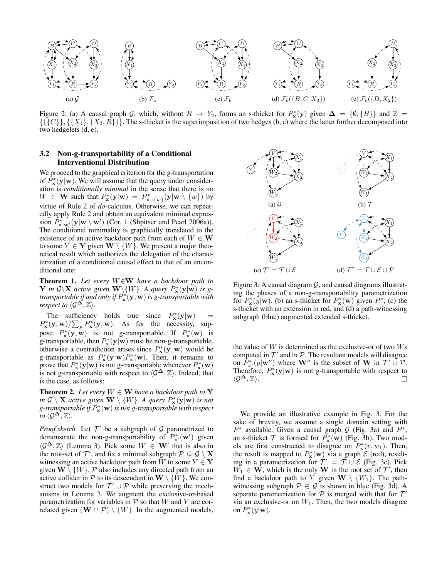

Figure 2: (a) A causal graph G, which, without  $R \to Y_2$ , forms an s-thicket for  $P^*_{\mathbf{x}}(\mathbf{y})$  given  $\Delta = \{\emptyset, \{B\}\}\$ and  $\mathbb{Z} =$  $\{\{\{C\}\}, \{\{X_1\}, \{X_3, R\}\}\}.$  The s-thicket is the superimposition of two hedges (b, c) where the latter further decomposed into two hedgelets (d, e).

## 3.2 Non-g-transportability of a Conditional Interventional Distribution

We proceed to the graphical criterion for the g-transportation of  $\hat{P}_{\mathbf{x}}^*(\mathbf{y}|\mathbf{w})$ . We will assume that the query under consideration is *conditionally minimal* in the sense that there is no  $W \in \mathbf{W}$  such that  $P^*_{\mathbf{x}}(\mathbf{y}|\mathbf{w}) = P^*_{\mathbf{x} \cup \{w\}}(\mathbf{y}|\mathbf{w} \setminus \{w\})$  by virtue of Rule 2 of *do*-calculus. Otherwise, we can repeatedly apply Rule 2 and obtain an equivalent minimal expression  $\hat{P}_{\mathbf{x},\mathbf{w}'}^*(\mathbf{y}|\mathbf{w} \setminus \mathbf{w}')$  (Cor. 1 (Shpitser and Pearl 2006a)). The conditional minimality is graphically translated to the existence of an active backdoor path from each of  $W \in W$ to some  $Y \in \mathbf{Y}$  given  $\mathbf{W} \setminus \{W\}$ . We present a major theoretical result which authorizes the delegation of the characterization of a conditional causal effect to that of an unconditional one:

Theorem 1. *Let every* W∈W *have a backdoor path to* **Y** in  $\mathcal{G}\backslash\mathbf{X}$  active given **W** $\setminus$ {*W*}. A query  $P^*_{\mathbf{x}}(\mathbf{y}|\mathbf{w})$  is g*transportable if and only if*  $P_{\bf x}^{*}({\bf y},{\bf w})$  *is g-transportable with respect to*  $\langle \mathcal{G}^{\Delta}, \mathbb{Z} \rangle$ *.* 

The sufficiency holds true since  $P^*_{\mathbf{x}}(\mathbf{y}|\mathbf{w})$  =  $P_{\mathbf{x}}^{*}(\mathbf{y}, \mathbf{w})/\sum_{\mathbf{y}} P_{\mathbf{x}}^{*}(\mathbf{y}, \mathbf{w})$ . As for the necessity, suppose  $P^*_{\mathbf{x}}(\mathbf{y}, \mathbf{w})$  is not g-transportable. If  $P^*_{\mathbf{x}}(\mathbf{w})$  is g-transportable, then  $P_{\mathbf{x}}^*(\mathbf{y}|\mathbf{w})$  must be non-g-transportable, otherwise a contradiction arises since  $P^*_{\mathbf{x}}(\mathbf{y}, \mathbf{w})$  would be g-transportable as  $P^*_{\mathbf{x}}(\mathbf{y}|\mathbf{w})P^*_{\mathbf{x}}(\mathbf{w})$ . Then, it remains to prove that  $P^*_{\mathbf{x}}(\mathbf{y}|\mathbf{w})$  is not g-transportable whenever  $P^*_{\mathbf{x}}(\mathbf{w})$ is not g-transportable with respect to  $\langle \mathcal{G}^{\Delta}, \mathbb{Z} \rangle$ . Indeed, that is the case, as follows:

**Theorem 2.** Let every  $W \in \mathbf{W}$  have a backdoor path to  $\mathbf{Y}$ *in*  $\mathcal{G} \setminus \mathbf{X}$  *active given*  $\mathbf{W} \setminus \{W\}$ . A query  $P^*_{\mathbf{x}}(\mathbf{y}|\mathbf{w})$  *is not* g-transportable if  $P^*_\mathbf{x}(\mathbf{w})$  is not g-transportable with respect *to*  $\langle \mathcal{G}^{\Delta}, \mathbb{Z} \rangle$ .

*Proof sketch.* Let  $T'$  be a subgraph of  $G$  parametrized to demonstrate the non-g-transportability of  $P_{\mathbf{x}'}^*(\mathbf{w}')$  given  $\langle \mathcal{G}^{\Delta}, \mathbb{Z} \rangle$  (Lemma 3). Pick some  $W \in \mathbf{W}'$  that is also in the root-set of  $\mathcal{T}'$ , and fix a minimal subgraph  $\mathcal{P} \subseteq \mathcal{G} \setminus \mathbf{X}$ witnessing an active backdoor path from W to some  $Y \in Y$ given  $\mathbf{W} \setminus \{W\}$ . P also includes any directed path from an active collider in  $P$  to its descendant in  $W \setminus \{W\}$ . We construct two models for  $\mathcal{T}' \cup \mathcal{P}$  while preserving the mechanisms in Lemma 3. We augment the exclusive-or-based parametrization for variables in  $P$  so that W and Y are correlated given  $(W \cap P) \setminus \{W\}$ . In the augmented models,



Figure 3: A causal diagram  $G$ , and causal diagrams illustrating the phases of a non-g-transportability parametrization for  $P^*_{\mathbf{x}}(y|\mathbf{w})$ . (b) an s-thicket for  $P^*_{\mathbf{x}}(\mathbf{w})$  given  $P^*$ , (c) the s-thicket with an extension in red, and (d) a path-witnessing subgraph (blue) augmented extended s-thicket.

the value of  $W$  is determined as the exclusive-or of two  $Ws$ computed in  $\mathcal{T}'$  and in  $\mathcal{P}$ . The resultant models will disagree on  $P_{\mathbf{x}'}^*(y|\mathbf{w}'')$  where W'' is the subset of W in  $\mathcal{T}' \cup \mathcal{P}$ . Therefore,  $P_{\mathbf{x}}^{*}(\mathbf{y}|\mathbf{w})$  is not g-transportable with respect to  $\langle \mathcal{G}^{\mathbf{\Delta}}, \mathbb{Z} \rangle$ . П

We provide an illustrative example in Fig. 3. For the sake of brevity, we assume a single domain setting with  $P^*$  available. Given a causal graph  $G$  (Fig. 3a) and  $P^*$ , an s-thicket  $\mathcal T$  is formed for  $P^*_{\mathbf x}(\mathbf w)$  (Fig. 3b). Two models are first constructed to disagree on  $P_{\mathbf{x}}^*(v, w_1)$ . Then, the result is mapped to  $P_{\mathbf{x}}^*(\mathbf{w})$  via a graph  $\mathcal{E}$  (red), resulting in a parametrization for  $\mathcal{T}' = \mathcal{T} \cup \mathcal{E}$  (Fig. 3c). Pick  $W_1 \in \mathbf{W}$ , which is the only W in the root set of  $\mathcal{T}'$ , then find a backdoor path to Y given  $W \setminus \{W_1\}$ . The pathwitnessing subgraph  $P \in \mathcal{G}$  is shown in blue (Fig. 3d). A separate parametrization for  $P$  is merged with that for  $T'$ via an exclusive-or on  $W_1$ . Then, the two models disagree on  $P_{\mathbf{x}}^*(y|\mathbf{w})$ .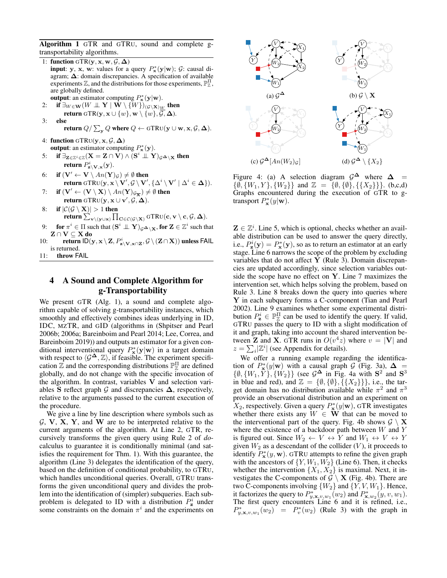Algorithm 1 GTR and GTRU, sound and complete gtransportability algorithms.

1: function GTR(y, x, w,  $\mathcal{G}, \Delta$ ) **input**: y, x, w: values for a query  $P^*_{\mathbf{x}}(\mathbf{y}|\mathbf{w})$ ;  $G$ : causal diagram;  $\Delta$ : domain discrepancies. A specification of available experiments  $\mathbb{Z}$ , and the distributions for those experiments,  $\mathbb{P}_{\mathbb{Z}}^{\Pi}$ , are globally defined.

- **output**: an estimator computing  $P_{\mathbf{x}}^*(\mathbf{y}|\mathbf{w})$ . 2: if  $\exists_{W\in\mathbf{W}}(W\perp\!\!\!\perp \mathbf{Y}\mid \mathbf{W}\setminus\{W\})_{(\mathcal{G}\setminus\mathbf{X})_{\underline{W}}}$  then
- return GTR(y,  $\mathbf{x} \cup \{w\}$ ,  $\mathbf{w} \setminus \{w\}$ ,  $\overline{\mathcal{G}}, \Delta$ ). 3: else

return 
$$
Q/\sum_{\mathbf{y}} Q
$$
 where  $Q \leftarrow \text{GTRU}(\mathbf{y} \cup \mathbf{w}, \mathbf{x}, \mathcal{G}, \Delta)$ .

- 4: function GTRU( $\mathbf{y}, \mathbf{x}, \mathcal{G}, \boldsymbol{\Delta}$ ) **output**: an estimator computing  $P_{\mathbf{x}}^*(\mathbf{y})$ .
- 5: if  $\exists_{\mathbf{Z}\in\mathbb{Z}^i\in\mathbb{Z}}(\mathbf{X}=\mathbf{Z}\cap \mathbf{V})\wedge (\mathbf{S}^i\perp\!\!\!\perp\mathbf{Y})_{\mathcal{G}^{\bm{\Delta}}\setminus\mathbf{X}}$  then return  $P^i_{\mathbf{z} \setminus \mathbf{V}, \mathbf{x}}(\mathbf{y}).$
- 6: if  $(\mathbf{V}' \leftarrow \mathbf{V} \setminus An(\mathbf{Y})_{\mathcal{G}}) \neq \emptyset$  then return GTRU $(\mathbf{y}, \mathbf{x} \setminus \mathbf{V}', \mathcal{G} \setminus \mathbf{V}', \{\Delta^i \setminus \mathbf{V}' \mid \Delta^i \in \mathbf{\Delta}\}).$
- 7: if  $(\mathbf{V}' \leftarrow (\mathbf{V} \setminus \mathbf{X}) \setminus An(\mathbf{Y})_{\mathcal{G}_{\overline{\mathbf{X}}}}) \neq \emptyset$  then return GTRU $(y, x \cup v', \mathcal{G}, \Delta)$ .
- 8: if  $|C(G \setminus X)| > 1$  then return  $\sum_{\mathbf{v} \setminus (\mathbf{y} \cup \mathbf{x})} \prod_{\mathbf{C} \in \mathcal{C}(\mathcal{G} \setminus \mathbf{X})} \text{GTRU}(\mathbf{c}, \mathbf{v} \setminus \mathbf{c}, \mathcal{G}, \mathbf{\Delta}).$
- 9: for  $\pi^i\in\Pi$  such that  $(\mathbf{S}^i\perp\!\!\!\perp\mathbf{Y})_{\mathcal{G}^\boldsymbol{\Delta}\setminus\mathbf{X}},$  for  $\mathbf{Z}\in\mathbb{Z}^i$  such that  $\mathbf{Z} \cap \mathbf{V} \subseteq \mathbf{X}$  do
- 10: return  $\mathsf{ID}(\mathbf{y}, \mathbf{x} \setminus \mathbf{Z}, P^i_{\mathbf{z}\setminus \mathbf{V}, \mathbf{x} \cap \mathbf{Z}}, \mathcal{G} \setminus (\mathbf{Z} \cap \mathbf{X}))$  unless FAIL is returned.
- 11: throw FAIL

# 4 A Sound and Complete Algorithm for g-Transportability

We present GTR (Alg. 1), a sound and complete algorithm capable of solving g-transportability instances, which smoothly and effectively combines ideas underlying in ID, IDC, MZTR, and GID (algorithms in (Shpitser and Pearl 2006b; 2006a; Bareinboim and Pearl 2014; Lee, Correa, and Bareinboim 2019)) and outputs an estimator for a given conditional interventional query  $P_{\mathbf{x}}^*(\mathbf{y}|\mathbf{w})$  in a target domain with respect to  $\langle \mathcal{G}^{\Delta}, \mathbb{Z} \rangle$ , if feasible. The experiment specification  $\overline{\mathbb{Z}}$  and the corresponding distributions  $\mathbb{P}_{\overline{\mathbb{Z}}}^{\Pi}$  are defined globally, and do not change with the specific invocation of the algorithm. In contrast, variables V and selection variables S reflect graph G and discrepancies  $\Delta$ , respectively, relative to the arguments passed to the current execution of the procedure.

We give a line by line description where symbols such as  $\mathcal{G}, \mathbf{V}, \mathbf{X}, \mathbf{Y}, \mathbf{X}$  and W are to be interpreted relative to the current arguments of the algorithm. At Line 2, GTR, recursively transforms the given query using Rule 2 of *do*calculus to guarantee it is conditionally minimal (and satisfies the requirement for Thm. 1). With this guarantee, the algorithm (Line 3) delegates the identification of the query, based on the definition of conditional probability, to GTRU, which handles unconditional queries. Overall, GTRU transforms the given unconditional query and divides the problem into the identification of (simpler) subqueries. Each subproblem is delegated to ID with a distribution  $P_{\mathbf{z}}^{i}$  under some constraints on the domain  $\pi^{i}$  and the experiments on



Figure 4: (a) A selection diagram  $\mathcal{G}^{\Delta}$  where  $\Delta$  $\{\emptyset, \{W_1, Y\}, \{W_2\}\}\$ and  $\mathbb{Z} = \{\emptyset, \{\emptyset\}, \{\{X_2\}\}\}\.$  (b,c,d) Graphs encountered during the execution of GTR to gtransport  $P_{\mathbf{x}}^*(y|\mathbf{w})$ .

 $\mathbf{Z} \in \mathbb{Z}^i$ . Line 5, which is optional, checks whether an available distribution can be used to answer the query directly, i.e.,  $P_{\mathbf{z}}^{i}(\mathbf{y}) = P_{\mathbf{x}}^{*}(\mathbf{y})$ , so as to return an estimator at an early stage. Line 6 narrows the scope of the problem by excluding variables that do not affect Y (Rule 3). Domain discrepancies are updated accordingly, since selection variables outside the scope have no effect on Y. Line 7 maximizes the intervention set, which helps solving the problem, based on Rule 3. Line 8 breaks down the query into queries where Y in each subquery forms a C-component (Tian and Pearl 2002). Line 9 examines whether some experimental distribution  $P_{\mathbf{z}}^i \in \mathbb{P}_{\mathbb{Z}}^{\Pi}$  can be used to identify the query. If valid, GTRU passes the query to ID with a slight modification of it and graph, taking into account the shared intervention between **Z** and **X**. GTR runs in  $O(v^4z)$  where  $v = |V|$  and  $z = \sum_i |\mathbb{Z}^i|$  (see Appendix for details).

We offer a running example regarding the identification of  $P^*_{\mathbf{x}}(y|\mathbf{w})$  with a causal graph  $\mathcal G$  (Fig. 3a),  $\boldsymbol{\Delta} =$  $\{\emptyset, \{W_1, \tilde{Y}\}, \{W_2\}\}\$  (see  $\mathcal{G}^{\Delta}$  in Fig. 4a with  $S^2$  and  $S^3$ in blue and red), and  $\mathbb{Z} = \{\emptyset, \{\emptyset\}, \{\{X_2\}\}\}\$ , i.e., the target domain has no distribution available while  $\pi^2$  and  $\pi^3$ provide an observational distribution and an experiment on  $X_2$ , respectively. Given a query  $P^*_{\mathbf{x}}(y|\mathbf{w})$ , GTR investigates whether there exists any  $W \in W$  that can be moved to the interventional part of the query. Fig. 4b shows  $\mathcal{G} \setminus \mathbf{X}$ where the existence of a backdoor path between W and Y is figured out. Since  $W_2 \leftarrow V \leftrightarrow Y$  and  $W_1 \leftrightarrow V \leftrightarrow Y$ given  $W_2$  as a descendant of the collider  $(V)$ , it proceeds to identify  $P_{\mathbf{x}}^*(y, \mathbf{w})$ . GTRU attempts to refine the given graph with the ancestors of  $\{Y, W_1, W_2\}$  (Line 6). Then, it checks whether the intervention  $\{X_1, X_2\}$  is maximal. Next, it investigates the C-components of  $G \setminus X$  (Fig. 4b). There are two C-components involving  $\{W_2\}$  and  $\{Y, V, W_1\}$ . Hence, it factorizes the query to  $P^*_{y,\mathbf{x},v,w_1}(w_2)$  and  $P^*_{\mathbf{x},w_2}(y,v,w_1)$ . The first query encounters Line 6 and it is refined, i.e.,  $P_{y,\mathbf{x},v,w_1}^*(w_2) = P_v^*(w_2)$  (Rule 3) with the graph in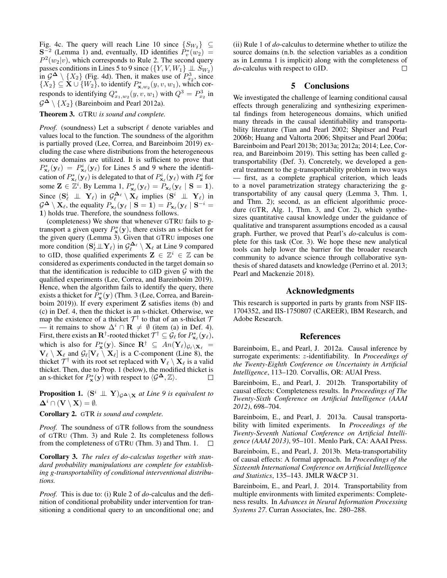Fig. 4c. The query will reach Line 10 since  $\{S_{W_2}\}\subseteq$  ${\bf S}^{-2}$  (Lemma 1) and, eventually, ID identifies  $\tilde{P}^*_{v}(w_2)$  =  $P^2(w_2|v)$ , which corresponds to Rule 2. The second query passes conditions in Lines 5 to 9 since  $(\lbrace Y, V, W_1 \rbrace \perp \!\!\! \perp S_{W_2})$ in  $\mathcal{G}^{\Delta} \setminus \{X_2\}$  (Fig. 4d). Then, it makes use of  $P_{x_2}^3$ , since  $\{X_2\} \subseteq \mathbf{X} \cup \{W_2\}$ , to identify  $P^*_{\mathbf{x},w_2}(y,v,w_1)$ , which corresponds to identifying  $Q_{x_1,w_2}^*(y, v, w_1)$  with  $Q^3 = P_{x_2}^3$  in  $\mathcal{G}^{\mathbf{\Delta}} \setminus \{X_2\}$  (Bareinboim and Pearl 2012a).

#### Theorem 3. GTRU *is sound and complete.*

*Proof.* (soundness) Let a subscript  $\ell$  denote variables and values local to the function. The soundness of the algorithm is partially proved (Lee, Correa, and Bareinboim 2019) excluding the case where distributions from the heterogeneous source domains are utilized. It is sufficient to prove that  $P_{\mathbf{x}_{\ell}}^{*}(\mathbf{y}_{\ell}) = P_{\mathbf{x}_{\ell}}^{i}(\mathbf{y}_{\ell})$  for Lines 5 and 9 where the identification of  $P^*_{\mathbf{x}_\ell}(\mathbf{y}_\ell)$  is delegated to that of  $P^i_{\mathbf{x}_\ell}(\mathbf{y}_\ell)$  with  $P^i_{\mathbf{z}}$  for some  $\mathbf{Z} \in \mathbb{Z}^i$ . By Lemma 1,  $P^*_{\mathbf{x}_{\ell}}(\mathbf{y}_{\ell}) = \tilde{P}_{\mathbf{x}_{\ell}}(\mathbf{y}_{\ell} \mid \mathbf{S} = \mathbf{1}).$ Since  $(\mathbf{S}_{\ell}^i \perp \perp \mathbf{Y}_{\ell})$  in  $\mathcal{G}_{\ell}^{\mathbf{\Delta}_{\ell}} \setminus \mathbf{X}_{\ell}$  implies  $(\mathbf{S}^i \perp \perp \mathbf{Y}_{\ell})$  in  $\mathcal{G}^{\mathbf{\Delta}} \setminus \mathbf{X}_{\ell}$ , the equality  $P_{\mathbf{x}_{\ell}}(\mathbf{y}_{\ell} \mid \mathbf{S} = 1) = P_{\mathbf{x}_{\ell}}(\mathbf{y}_{\ell} \mid \mathbf{S}^{-i} = 1)$ 1) holds true. Therefore, the soundness follows.

(completeness) We show that whenever GTRU fails to gtransport a given query  $P_{\mathbf{x}}^{*}(\mathbf{y})$ , there exists an s-thicket for the given query (Lemma 3). Given that GTRU imposes one more condition  $(\mathbf{S}_{\ell}^i \mathbb{L} \mathbf{Y}_{\ell})$  in  $\mathcal{G}_{\ell}^{\mathbf{\Delta}_{\ell}} \setminus \mathbf{X}_{\ell}$  at Line 9 compared to GID, those qualified experiments  $\mathbf{Z} \in \mathbb{Z}^i \in \mathbb{Z}$  can be considered as experiments conducted in the target domain so that the identification is reducible to GID given  $G$  with the qualified experiments (Lee, Correa, and Bareinboim 2019). Hence, when the algorithm fails to identify the query, there exists a thicket for  $\overline{P}_{\mathbf{x}}^*(\mathbf{y})$  (Thm. 3 (Lee, Correa, and Bareinboim 2019)). If every experiment Z satisfies items (b) and (c) in Def. 4, then the thicket is an s-thicket. Otherwise, we map the existence of a thicket  $\mathcal{T}^{\dagger}$  to that of an s-thicket  $\mathcal{T}$ — it remains to show  $\Delta^i \cap \mathbf{R} \neq \emptyset$  (item (a) in Def. 4). First, there exists an  $\mathbf{R}^\dagger$ -rooted thicket  $\mathcal{T}^\dagger \subseteq \mathcal{G}_\ell$  for  $P^*_{\mathbf{x}_\ell}(\mathbf{y}_\ell)$ , which is also for  $P^*_{\mathbf{x}}(\mathbf{y})$ . Since  $\mathbf{R}^{\dagger} \subseteq An(\mathbf{Y}_{\ell})_{\mathcal{G}_{\ell} \setminus \mathbf{X}_{\ell}} =$  $\mathbf{V}_{\ell} \setminus \mathbf{X}_{\ell}$  and  $\mathcal{G}_{\ell}[\mathbf{V}_{\ell} \setminus \mathbf{X}_{\ell}]$  is a C-component (Line 8), the thicket  $\mathcal{T}^{\dagger}$  with its root set replaced with  $\mathbf{V}_{\ell} \setminus \mathbf{X}_{\ell}$  is a valid thicket. Then, due to Prop. 1 (below), the modified thicket is an s-thicket for  $P_{\mathbf{x}}^{*}(\mathbf{y})$  with respect to  $\langle \mathcal{G}^{\mathbf{\Delta}}, \mathbb{Z} \rangle$ .

**Proposition 1.**  $(S^i \perp \!\!\! \perp Y)_{\mathcal{G}^{\Delta}\setminus \mathbf{X}}$  at Line 9 is equivalent to  $\mathbf{\Delta}^i \cap (\mathbf{V} \setminus \mathbf{X}) = \emptyset.$ 

Corollary 2. GTR *is sound and complete.*

*Proof.* The soundness of GTR follows from the soundness of GTRU (Thm. 3) and Rule 2. Its completeness follows from the completeness of GTRU (Thm. 3) and Thm. 1.  $\Box$ 

Corollary 3. *The rules of do-calculus together with standard probability manipulations are complete for establishing g-transportability of conditional interventional distributions.*

*Proof.* This is due to: (i) Rule 2 of *do*-calculus and the definition of conditional probability under intervention for transitioning a conditional query to an unconditional one; and

(ii) Rule 1 of *do*-calculus to determine whether to utilize the source domains (n.b. the selection variables as a condition as in Lemma 1 is implicit) along with the completeness of *do*-calculus with respect to GID.  $\Box$ 

# 5 Conclusions

We investigated the challenge of learning conditional causal effects through generalizing and synthesizing experimental findings from heterogeneous domains, which unified many threads in the causal identifiability and transportability literature (Tian and Pearl 2002; Shpitser and Pearl 2006b; Huang and Valtorta 2006; Shpitser and Pearl 2006a; Bareinboim and Pearl 2013b; 2013a; 2012a; 2014; Lee, Correa, and Bareinboim 2019). This setting has been called gtransportability (Def. 3). Concretely, we developed a general treatment to the g-transportability problem in two ways — first, as a complete graphical criterion, which leads to a novel parametrization strategy characterizing the gtransportability of any causal query (Lemma 3, Thm. 1, and Thm. 2); second, as an efficient algorithmic procedure (GTR, Alg. 1, Thm. 3, and Cor. 2), which synthesizes quantitative causal knowledge under the guidance of qualitative and transparent assumptions encoded as a causal graph. Further, we proved that Pearl's *do*-calculus is complete for this task (Cor. 3). We hope these new analytical tools can help lower the barrier for the broader research community to advance science through collaborative synthesis of shared datasets and knowledge (Perrino et al. 2013; Pearl and Mackenzie 2018).

### Acknowledgments

This research is supported in parts by grants from NSF IIS-1704352, and IIS-1750807 (CAREER), IBM Research, and Adobe Research.

#### References

Bareinboim, E., and Pearl, J. 2012a. Causal inference by surrogate experiments: z-identifiability. In *Proceedings of the Twenty-Eighth Conference on Uncertainty in Artificial Intelligence*, 113–120. Corvallis, OR: AUAI Press.

Bareinboim, E., and Pearl, J. 2012b. Transportability of causal effects: Completeness results. In *Proceedings of The Twenty-Sixth Conference on Artificial Intelligence (AAAI 2012)*, 698–704.

Bareinboim, E., and Pearl, J. 2013a. Causal transportability with limited experiments. In *Proceedings of the Twenty-Seventh National Conference on Artificial Intelligence (AAAI 2013)*, 95–101. Menlo Park, CA: AAAI Press.

Bareinboim, E., and Pearl, J. 2013b. Meta-transportability of causal effects: A formal approach. In *Proceedings of the Sixteenth International Conference on Artificial Intelligence and Statistics*, 135–143. JMLR W&CP 31.

Bareinboim, E., and Pearl, J. 2014. Transportability from multiple environments with limited experiments: Completeness results. In *Advances in Neural Information Processing Systems 27*. Curran Associates, Inc. 280–288.